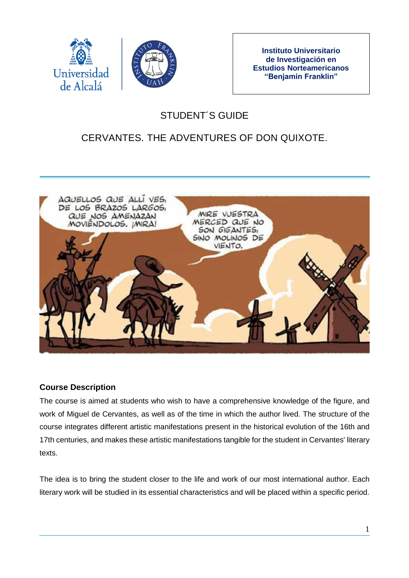



**Instituto Universitario de Investigación en Estudios Norteamericanos "Benjamin Franklin"**

# STUDENT´S GUIDE

# CERVANTES. THE ADVENTURES OF DON QUIXOTE.



### **Course Description**

The course is aimed at students who wish to have a comprehensive knowledge of the figure, and work of Miguel de Cervantes, as well as of the time in which the author lived. The structure of the course integrates different artistic manifestations present in the historical evolution of the 16th and 17th centuries, and makes these artistic manifestations tangible for the student in Cervantes' literary texts.

The idea is to bring the student closer to the life and work of our most international author. Each literary work will be studied in its essential characteristics and will be placed within a specific period.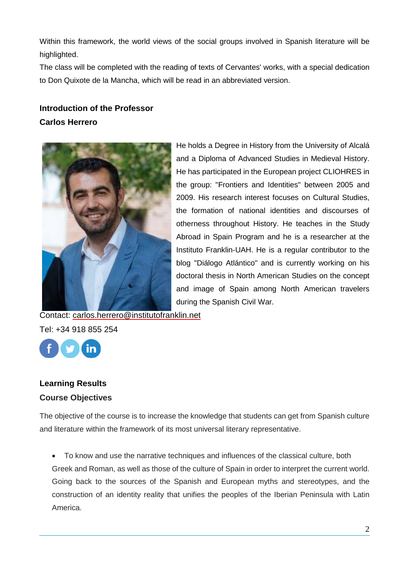Within this framework, the world views of the social groups involved in Spanish literature will be highlighted.

The class will be completed with the reading of texts of Cervantes' works, with a special dedication to Don Quixote de la Mancha, which will be read in an abbreviated version.

# **Introduction of the Professor Carlos Herrero**



He holds a Degree in History from the University of Alcalá and a Diploma of Advanced Studies in Medieval History. He has participated in the European project CLIOHRES in the group: "Frontiers and Identities" between 2005 and 2009. His research interest focuses on Cultural Studies, the formation of national identities and discourses of otherness throughout History. He teaches in the Study Abroad in Spain Program and he is a researcher at the Instituto Franklin-UAH. He is a regular contributor to the blog "Diálogo Atlántico" and is currently working on his doctoral thesis in North American Studies on the concept and image of Spain among North American travelers during the Spanish Civil War.

Tel: +34 918 855 254

## **Learning Results Course Objectives**

The objective of the course is to increase the knowledge that students can get from Spanish culture and literature within the framework of its most universal literary representative.

 To know and use the narrative techniques and influences of the classical culture, both Greek and Roman, as well as those of the culture of Spain in order to interpret the current world. Going back to the sources of the Spanish and European myths and stereotypes, and the construction of an identity reality that unifies the peoples of the Iberian Peninsula with Latin America.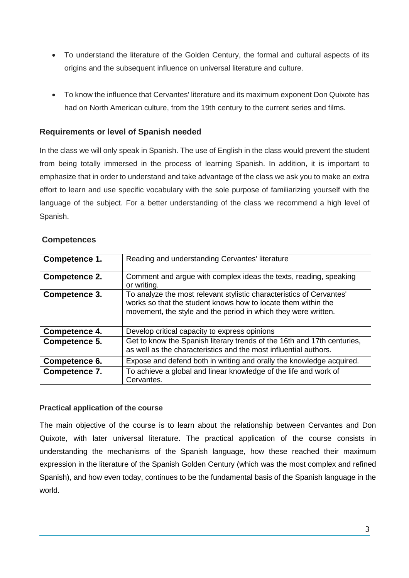- To understand the literature of the Golden Century, the formal and cultural aspects of its origins and the subsequent influence on universal literature and culture.
- To know the influence that Cervantes' literature and its maximum exponent Don Quixote has had on North American culture, from the 19th century to the current series and films.

### **Requirements or level of Spanish needed**

In the class we will only speak in Spanish. The use of English in the class would prevent the student from being totally immersed in the process of learning Spanish. In addition, it is important to emphasize that in order to understand and take advantage of the class we ask you to make an extra effort to learn and use specific vocabulary with the sole purpose of familiarizing yourself with the language of the subject. For a better understanding of the class we recommend a high level of Spanish.

| Competence 1. | Reading and understanding Cervantes' literature                                                                                                                                                         |
|---------------|---------------------------------------------------------------------------------------------------------------------------------------------------------------------------------------------------------|
| Competence 2. | Comment and argue with complex ideas the texts, reading, speaking<br>or writing.                                                                                                                        |
| Competence 3. | To analyze the most relevant stylistic characteristics of Cervantes'<br>works so that the student knows how to locate them within the<br>movement, the style and the period in which they were written. |
| Competence 4. | Develop critical capacity to express opinions                                                                                                                                                           |
| Competence 5. | Get to know the Spanish literary trends of the 16th and 17th centuries,<br>as well as the characteristics and the most influential authors.                                                             |
| Competence 6. | Expose and defend both in writing and orally the knowledge acquired.                                                                                                                                    |
| Competence 7. | To achieve a global and linear knowledge of the life and work of<br>Cervantes.                                                                                                                          |

#### **Competences**

#### **Practical application of the course**

The main objective of the course is to learn about the relationship between Cervantes and Don Quixote, with later universal literature. The practical application of the course consists in understanding the mechanisms of the Spanish language, how these reached their maximum expression in the literature of the Spanish Golden Century (which was the most complex and refined Spanish), and how even today, continues to be the fundamental basis of the Spanish language in the world.